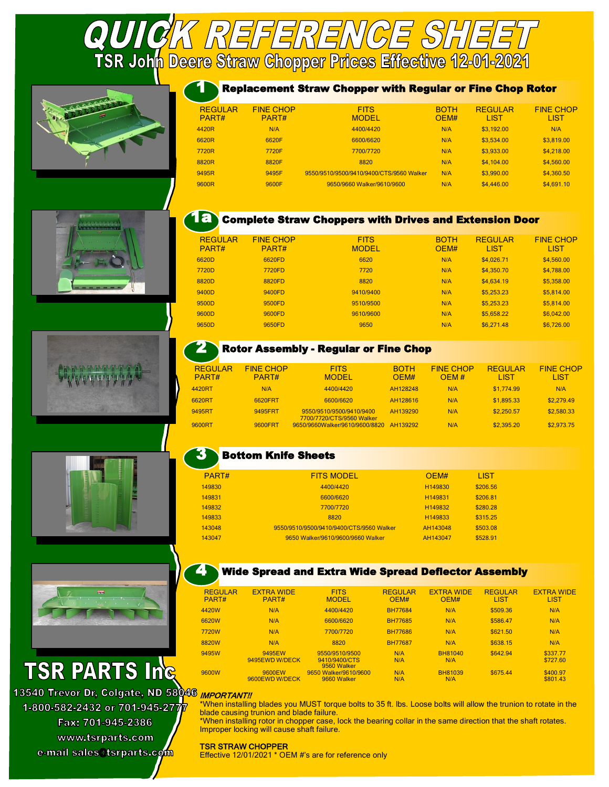**QUICK REFERENCE SHEET**<br>TSR Joh<mark>n Deere Straw Chopper Prices Effective 12-01-2021</mark>











# **TSR PARTS Ing**

13540 Trevor Dr. Colgate. ND 58046 1-800-582-2432 or 701-945-2777 Fax: 701-945-2386 www.tsrparts.com e-mail sales@tsrparts.com

## 1 Replacement Straw Chopper with Regular or Fine Chop Rotor

| <b>REGULAR</b><br>PART# | <b>FINE CHOP</b><br>PART# | <b>FITS</b><br><b>MODEL</b>              | <b>BOTH</b><br>OEM# | <b>REGULAR</b><br>LIST | <b>FINE CHOP</b><br><b>LIST</b> |
|-------------------------|---------------------------|------------------------------------------|---------------------|------------------------|---------------------------------|
| 4420R                   | N/A                       | 4400/4420                                | N/A                 | \$3,192.00             | N/A                             |
| 6620R                   | 6620F                     | 6600/6620                                | N/A                 | \$3,534.00             | \$3,819.00                      |
| 7720R                   | 7720F                     | 7700/7720                                | N/A                 | \$3,933.00             | \$4,218.00                      |
| 8820R                   | 8820F                     | 8820                                     | N/A                 | \$4,104.00             | \$4,560.00                      |
| 9495R                   | 9495F                     | 9550/9510/9500/9410/9400/CTS/9560 Walker | N/A                 | \$3,990.00             | \$4,360.50                      |
| 9600R                   | 9600F                     | 9650/9660 Walker/9610/9600               | N/A                 | \$4,446.00             | \$4,691.10                      |



2

## **1a Complete Straw Choppers with Drives and Extension Door**

| <b>REGULAR</b><br>PART# | <b>FINE CHOP</b><br>PART# | <b>FITS</b><br><b>MODEL</b> | <b>BOTH</b><br>OEM# | <b>REGULAR</b><br><b>LIST</b> | <b>FINE CHOP</b><br><b>LIST</b> |
|-------------------------|---------------------------|-----------------------------|---------------------|-------------------------------|---------------------------------|
| 6620D                   | 6620FD                    | 6620                        | N/A                 | \$4,026.71                    | \$4,560.00                      |
| 7720D                   | 7720FD                    | 7720                        | N/A                 | \$4,350.70                    | \$4,788.00                      |
| 8820D                   | 8820FD                    | 8820                        | N/A                 | \$4,634.19                    | \$5,358.00                      |
| 9400D                   | 9400FD                    | 9410/9400                   | N/A                 | \$5,253.23                    | \$5,814.00                      |
| 9500D                   | 9500FD                    | 9510/9500                   | N/A                 | \$5,253,23                    | \$5,814.00                      |
| 9600D                   | 9600FD                    | 9610/9600                   | N/A                 | \$5,658.22                    | \$6,042.00                      |
| 9650D                   | 9650FD                    | 9650                        | N/A                 | \$6,271.48                    | \$6,726.00                      |
|                         |                           |                             |                     |                               |                                 |

## Rotor Assembly - Regular or Fine Chop

| <b>REGULAR</b><br>PART# | <b>FINE CHOP</b><br>PART# | <b>FITS</b><br><b>MODEL</b>                           | <b>BOTH</b><br>OFM# | <b>FINE CHOP</b><br>OFM# | <b>REGULAR</b><br>l IST | <b>FINE CHOP</b><br>l IST |
|-------------------------|---------------------------|-------------------------------------------------------|---------------------|--------------------------|-------------------------|---------------------------|
| 4420RT                  | N/A                       | 4400/4420                                             | AH128248            | N/A                      | \$1,774.99              | N/A                       |
| 6620RT                  | 6620FRT                   | 6600/6620                                             | AH128616            | N/A                      | \$1,895.33              | \$2,279.49                |
| 9495RT                  | 9495FRT                   | 9550/9510/9500/9410/9400<br>7700/7720/CTS/9560 Walker | AH139290            | N/A                      | \$2,250.57              | \$2,580.33                |
| 9600RT                  | 9600FRT                   | 9650/9660Walker/9610/9600/8820                        | AH139292            | N/A                      | \$2,395.20              | \$2,973.75                |
|                         |                           |                                                       |                     |                          |                         |                           |

#### 3 Bottom Knife Sheets

| PART#  | <b>FITS MODEL</b>                        | OFM#                | <b>LIST</b> |
|--------|------------------------------------------|---------------------|-------------|
| 149830 | 4400/4420                                | H149830             | \$206.56    |
| 149831 | 6600/6620                                | H149831             | \$206.81    |
| 149832 | 7700/7720                                | H149832             | \$280.28    |
| 149833 | 8820                                     | H <sub>149833</sub> | \$315.25    |
| 143048 | 9550/9510/9500/9410/9400/CTS/9560 Walker | AH143048            | \$503.08    |
| 143047 | 9650 Walker/9610/9600/9660 Walker        | AH143047            | \$528.91    |
|        |                                          |                     |             |

#### 4 Wide Spread and Extra Wide Spread Deflector Assembly

| <b>REGULAR</b><br>PART# | <b>EXTRA WIDE</b><br>PART# | <b>FITS</b><br><b>MODEL</b>                    | <b>REGULAR</b><br>OEM# | <b>EXTRA WIDE</b><br>OEM# | <b>REGULAR</b><br><b>LIST</b> | <b>EXTRA WIDE</b><br><b>LIST</b> |
|-------------------------|----------------------------|------------------------------------------------|------------------------|---------------------------|-------------------------------|----------------------------------|
| 4420W                   | N/A                        | 4400/4420                                      | <b>BH77684</b>         | N/A                       | \$509.36                      | N/A                              |
| 6620W                   | N/A                        | 6600/6620                                      | <b>BH77685</b>         | N/A                       | \$586.47                      | N/A                              |
| 7720W                   | N/A                        | 7700/7720                                      | <b>BH77686</b>         | N/A                       | \$621.50                      | N/A                              |
| 8820W                   | N/A                        | 8820                                           | <b>BH77687</b>         | N/A                       | \$638.15                      | N/A                              |
| 9495W                   | 9495EW<br>9495EWD W/DECK   | 9550/9510/9500<br>9410/9400/CTS<br>9560 Walker | N/A<br>N/A             | BH81040<br>N/A            | \$642.94                      | \$337.77<br>\$727.60             |
| 9600W                   | 9600EW<br>9600EWD W/DECK   | 9650 Walker/9610/9600<br>9660 Walker           | N/A<br>N/A             | BH81039<br>N/A            | \$675.44                      | \$400.97<br>\$801.43             |
|                         |                            |                                                |                        |                           |                               |                                  |

### IMPORTANT!!

\*When installing blades you MUST torque bolts to 35 ft. lbs. Loose bolts will allow the trunion to rotate in the blade causing trunion and blade failure.

\*When installing rotor in chopper case, lock the bearing collar in the same direction that the shaft rotates. Improper locking will cause shaft failure.

## TSR STRAW CHOPPER

Effective 12/01/2021 \* OEM #'s are for reference only